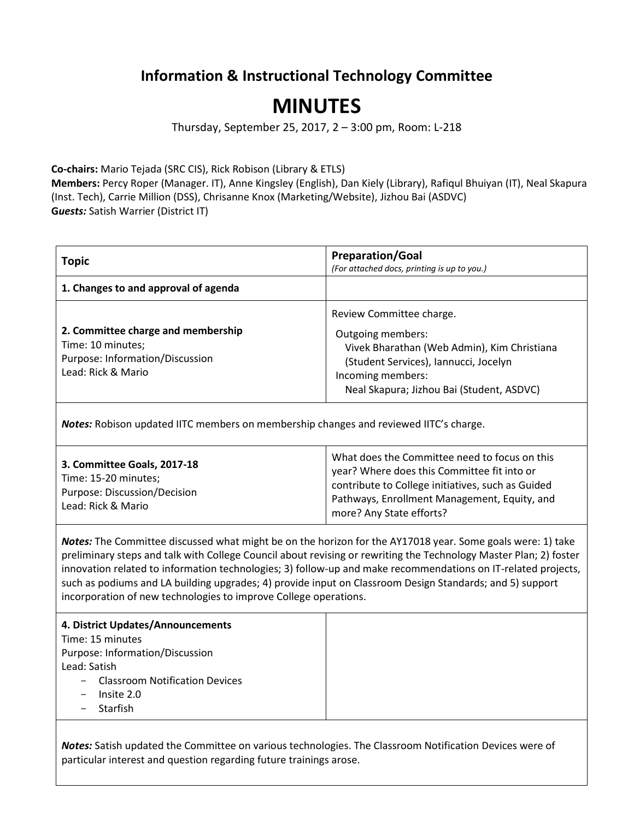## **Information & Instructional Technology Committee**

## **MINUTES**

Thursday, September 25, 2017, 2 – 3:00 pm, Room: L-218

**Co-chairs:** Mario Tejada (SRC CIS), Rick Robison (Library & ETLS)

**Members:** Percy Roper (Manager. IT), Anne Kingsley (English), Dan Kiely (Library), Rafiqul Bhuiyan (IT), Neal Skapura (Inst. Tech), Carrie Million (DSS), Chrisanne Knox (Marketing/Website), Jizhou Bai (ASDVC) **G***uests:* Satish Warrier (District IT)

| <b>Topic</b>                                                                                                     | <b>Preparation/Goal</b><br>(For attached docs, printing is up to you.)                                                                                                                                  |
|------------------------------------------------------------------------------------------------------------------|---------------------------------------------------------------------------------------------------------------------------------------------------------------------------------------------------------|
| 1. Changes to and approval of agenda                                                                             |                                                                                                                                                                                                         |
| 2. Committee charge and membership<br>Time: 10 minutes;<br>Purpose: Information/Discussion<br>Lead: Rick & Mario | Review Committee charge.<br>Outgoing members:<br>Vivek Bharathan (Web Admin), Kim Christiana<br>(Student Services), Iannucci, Jocelyn<br>Incoming members:<br>Neal Skapura; Jizhou Bai (Student, ASDVC) |

*Notes:* Robison updated IITC members on membership changes and reviewed IITC's charge.

| 3. Committee Goals, 2017-18<br>Time: 15-20 minutes;<br>Purpose: Discussion/Decision<br>Lead: Rick & Mario | What does the Committee need to focus on this<br>year? Where does this Committee fit into or<br>contribute to College initiatives, such as Guided<br>Pathways, Enrollment Management, Equity, and<br>more? Any State efforts? |
|-----------------------------------------------------------------------------------------------------------|-------------------------------------------------------------------------------------------------------------------------------------------------------------------------------------------------------------------------------|
|-----------------------------------------------------------------------------------------------------------|-------------------------------------------------------------------------------------------------------------------------------------------------------------------------------------------------------------------------------|

*Notes:* The Committee discussed what might be on the horizon for the AY17018 year. Some goals were: 1) take preliminary steps and talk with College Council about revising or rewriting the Technology Master Plan; 2) foster innovation related to information technologies; 3) follow-up and make recommendations on IT-related projects, such as podiums and LA building upgrades; 4) provide input on Classroom Design Standards; and 5) support incorporation of new technologies to improve College operations.

## **4. District Updates/Announcements**

Time: 15 minutes Purpose: Information/Discussion Lead: Satish

- Classroom Notification Devices
- Insite 2.0
- Starfish

*Notes:* Satish updated the Committee on various technologies. The Classroom Notification Devices were of particular interest and question regarding future trainings arose.